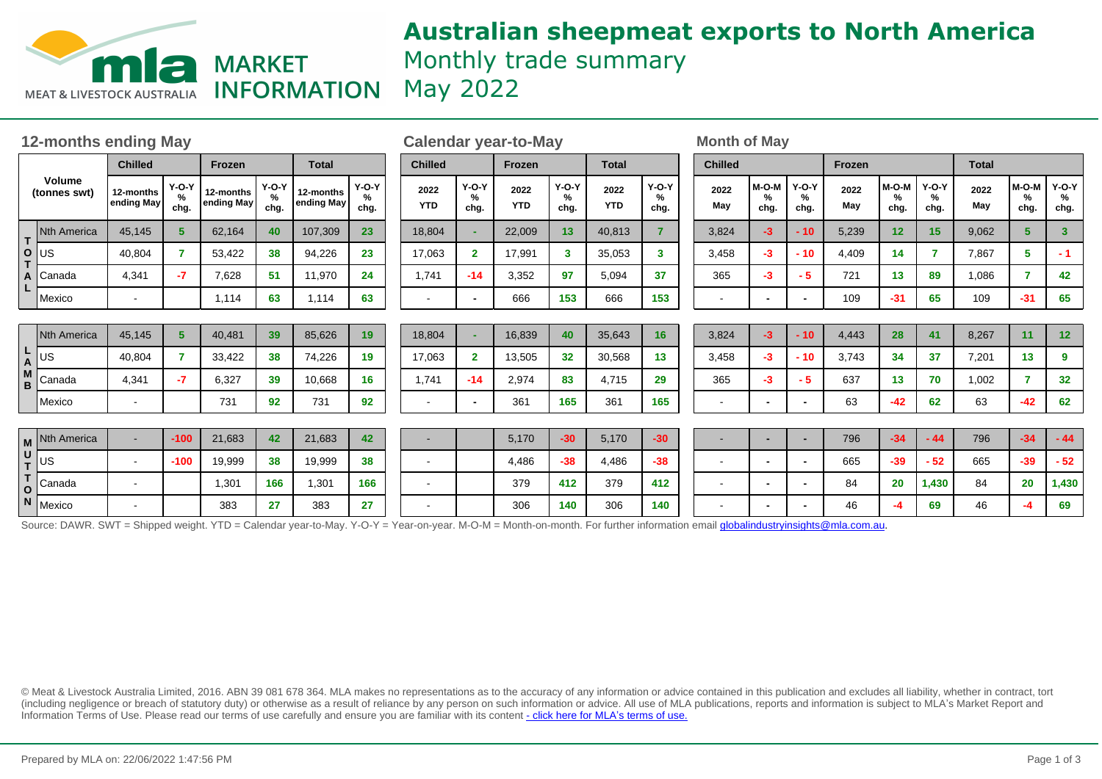

# **Australian sheepmeat exports to North America** Monthly trade summary **INFORMATION** May 2022

| <b>12-months ending May</b>   |                                                                                                                                                                                |                         |                      |                         |                      |                         |                      |                | <b>Calendar year-to-May</b> |                      |                    |                      |                    |                      | <b>Month of May</b>      |                                  |                          |             |                    |                      |             |                                |                      |
|-------------------------------|--------------------------------------------------------------------------------------------------------------------------------------------------------------------------------|-------------------------|----------------------|-------------------------|----------------------|-------------------------|----------------------|----------------|-----------------------------|----------------------|--------------------|----------------------|--------------------|----------------------|--------------------------|----------------------------------|--------------------------|-------------|--------------------|----------------------|-------------|--------------------------------|----------------------|
| <b>Volume</b><br>(tonnes swt) |                                                                                                                                                                                | <b>Chilled</b>          |                      | Frozen                  |                      | <b>Total</b>            |                      | <b>Chilled</b> |                             | <b>Frozen</b>        |                    | <b>Total</b>         |                    | <b>Chilled</b>       |                          |                                  | Frozen                   |             |                    | <b>Total</b>         |             |                                |                      |
|                               |                                                                                                                                                                                | 12-months<br>ending May | $Y-O-Y$<br>%<br>chg. | 12-months<br>ending May | $Y-O-Y$<br>%<br>chg. | 12-months<br>ending May | $Y-O-Y$<br>%<br>chg. |                | 2022<br><b>YTD</b>          | $Y-O-Y$<br>%<br>chg. | 2022<br><b>YTD</b> | $Y-O-Y$<br>%<br>chg. | 2022<br><b>YTD</b> | $Y-O-Y$<br>%<br>chg. | 2022<br>May              | $M-O-M$<br>$\frac{9}{6}$<br>chg. | $Y-O-Y$<br>%<br>chg.     | 2022<br>May | M-O-M<br>%<br>chg. | $Y-O-Y$<br>%<br>chg. | 2022<br>May | M-O-M<br>$\frac{9}{6}$<br>chg. | $Y-O-Y$<br>%<br>chg. |
| T<br>$\circ$                  | Nth America                                                                                                                                                                    | 45,145                  | 5                    | 62,164                  | 40                   | 107,309                 | 23                   |                | 18,804                      |                      | 22,009             | 13                   | 40,813             |                      | 3,824                    | $-3$                             | $-10$                    | 5,239       | 12                 | 15                   | 9,062       | 5                              | $\mathbf{3}$         |
|                               | lus                                                                                                                                                                            | 40,804                  | 7                    | 53,422                  | 38                   | 94,226                  | 23                   |                | 17,063                      | $\mathbf{2}$         | 17,991             | 3                    | 35,053             | 3                    | 3,458                    | $-3$                             | $-10$                    | 4,409       | 14                 | $\overline{7}$       | 7,867       | 5.                             | $-1$                 |
| A                             | Canada                                                                                                                                                                         | 4,341                   | $-7$                 | 7,628                   | 51                   | 11,970                  | 24                   |                | 1,741                       | $-14$                | 3,352              | 97                   | 5,094              | 37                   | 365                      | $-3$                             | - 5                      | 721         | 13                 | 89                   | 1,086       | 7                              | 42                   |
|                               | Mexico                                                                                                                                                                         |                         |                      | 1,114                   | 63                   | 1,114                   | 63                   |                | $\overline{\phantom{a}}$    | $\blacksquare$       | 666                | 153                  | 666                | 153                  |                          | $\overline{\phantom{0}}$         | $\blacksquare$           | 109         | $-31$              | 65                   | 109         | $-31$                          | 65                   |
| L<br>A                        | <b>Nth America</b>                                                                                                                                                             | 45,145                  | 5 <sup>5</sup>       | 40,481                  | 39                   | 85,626                  | 19                   |                | 18,804                      |                      | 16,839             | 40                   | 35,643             | 16                   | 3,824                    | $-3$                             | $-10$                    | 4,443       | 28                 | 41                   | 8,267       | 11                             | 12 <sub>2</sub>      |
|                               | JS                                                                                                                                                                             | 40,804                  | 7                    | 33,422                  | 38                   | 74,226                  | 19                   |                | 17,063                      | $\mathbf{2}$         | 13,505             | 32                   | 30,568             | 13                   | 3,458                    | $-3$                             | $-10$                    | 3,743       | 34                 | 37                   | 7,201       | 13                             | 9                    |
| M<br>B                        | Canada                                                                                                                                                                         | 4,341                   | $-7$                 | 6,327                   | 39                   | 10,668                  | 16 <sup>°</sup>      |                | 1,741                       | $-14$                | 2,974              | 83                   | 4,715              | 29                   | 365                      | -3                               | $-5$                     | 637         | 13                 | 70                   | 1,002       |                                | 32 <sub>2</sub>      |
|                               | Mexico                                                                                                                                                                         |                         |                      | 731                     | 92                   | 731                     | 92                   |                | $\overline{\phantom{a}}$    |                      | 361                | 165                  | 361                | 165                  | $\,$ $\,$                |                                  | $\overline{\phantom{0}}$ | 63          | $-42$              | 62                   | 63          | $-42$                          | 62                   |
|                               | M Nth America                                                                                                                                                                  | $\sim$                  | $-100$               | 21,683                  | 42                   | 21,683                  | 42                   |                |                             |                      | 5,170              | $-30$                | 5,170              | $-30$                |                          |                                  | $\overline{\phantom{0}}$ | 796         | $-34$              | $-44$                | 796         | $-34$                          | $-44$                |
| U<br>T                        | US                                                                                                                                                                             | $\sim$                  | $-100$               | 19,999                  | 38                   | 19,999                  | 38                   |                | $\blacksquare$              |                      | 4,486              | $-38$                | 4,486              | $-38$                | $\,$ $\,$                | $\blacksquare$                   | $\blacksquare$           | 665         | $-39$              | $-52$                | 665         | $-39$                          | $-52$                |
| T<br>O                        | Canada                                                                                                                                                                         |                         |                      | 1,301                   | 166                  | 1,301                   | 166                  |                | $\blacksquare$              |                      | 379                | 412                  | 379                | 412                  | $\sim$                   | $\blacksquare$                   | $\blacksquare$           | 84          | 20                 | 1,430                | 84          | 20                             | 1,430                |
|                               | N Mexico                                                                                                                                                                       |                         |                      | 383                     | 27                   | 383                     | 27                   |                |                             |                      | 306                | 140                  | 306                | 140                  | $\overline{\phantom{a}}$ | $\blacksquare$                   | $\overline{\phantom{0}}$ | 46          | -4                 | 69                   | 46          | -4                             | 69                   |
|                               | Source: DAWR. SWT = Shipped weight. YTD = Calendar year-to-May. Y-O-Y = Year-on-year. M-O-M = Month-on-month. For further information email globalindustryinsights@mla.com.au. |                         |                      |                         |                      |                         |                      |                |                             |                      |                    |                      |                    |                      |                          |                                  |                          |             |                    |                      |             |                                |                      |

© Meat & Livestock Australia Limited, 2016. ABN 39 081 678 364. MLA makes no representations as to the accuracy of any information or advice contained in this publication and excludes all liability, whether in contract, tort (including negligence or breach of statutory duty) or otherwise as a result of reliance by any person on such information or advice. All use of MLA publications, reports and information is subject to MLA¶s Market Report and Information Terms of Use. Please read our terms of use carefully and ensure you are familiar with its content [- click here for MLA](http://www.mla.com.au/files/edae0364-a185-4a6f-9dff-a42700d1463a/MLA-Market-Report-and-Information-Terms-of-use-Dec-2014.pdf)'[s terms of use.](http://www.mla.com.au/files/edae0364-a185-4a6f-9dff-a42700d1463a/MLA-Market-Report-and-Information-Terms-of-use-Dec-2014.pdf)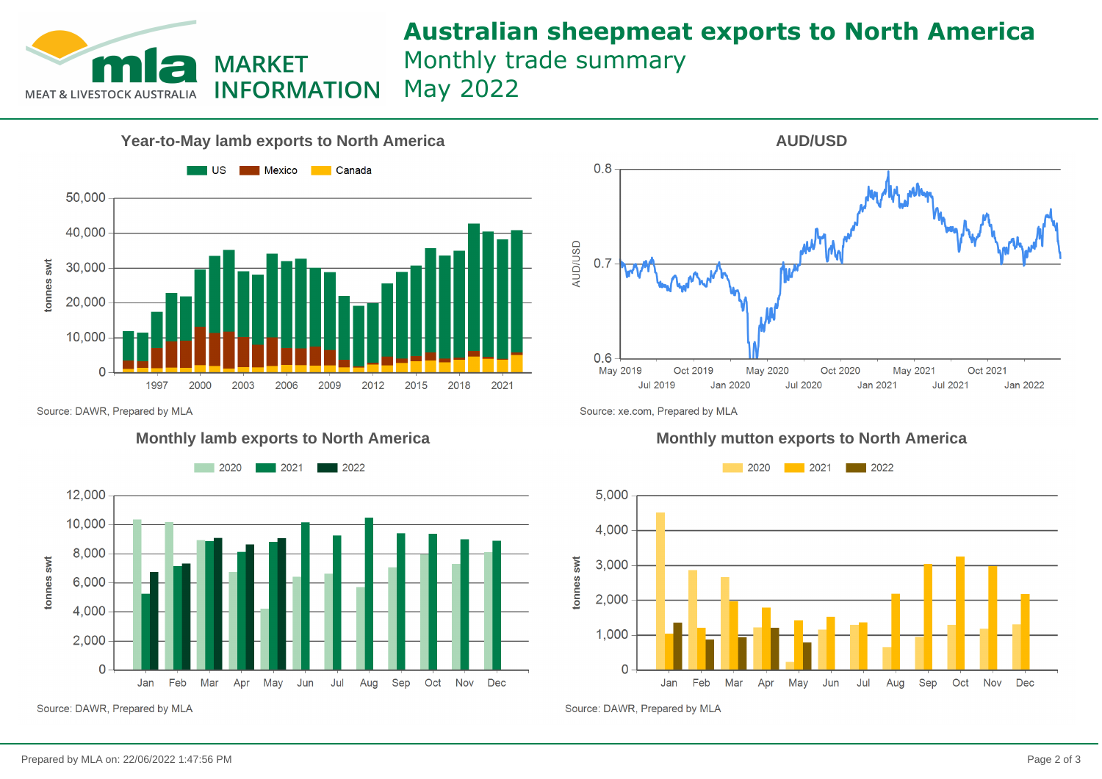

## **Australian sheepmeat exports to North America** Monthly trade summary May 2022



 $0.8$ **AUD/USD**  $0.7$  $0.6$ May 2019 Oct 2019 May 2020 Oct 2020 May 2021 Oct 2021 **Jul 2019** Jan 2020 **Jul 2020** Jan 2021 **Jul 2021** Jan 2022

**AUD/USD**

Source: DAWR, Prepared by MLA



Source: DAWR, Prepared by MLA

Source: xe.com, Prepared by MLA

### **Monthly lamb exports to North America Monthly mutton exports to North America**



Source: DAWR, Prepared by MLA